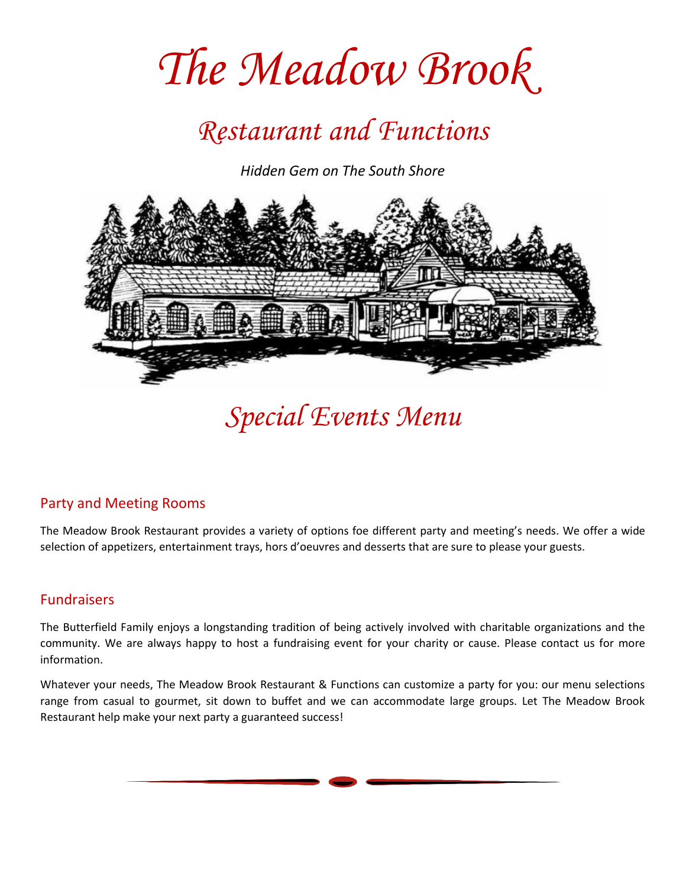# *The Meadow Brook*

### *Restaurant and Functions*

*Hidden Gem on The South Shore*



*Special Events Menu*

#### Party and Meeting Rooms

The Meadow Brook Restaurant provides a variety of options foe different party and meeting's needs. We offer a wide selection of appetizers, entertainment trays, hors d'oeuvres and desserts that are sure to please your guests.

#### Fundraisers

The Butterfield Family enjoys a longstanding tradition of being actively involved with charitable organizations and the community. We are always happy to host a fundraising event for your charity or cause. Please contact us for more information.

Whatever your needs, The Meadow Brook Restaurant & Functions can customize a party for you: our menu selections range from casual to gourmet, sit down to buffet and we can accommodate large groups. Let The Meadow Brook Restaurant help make your next party a guaranteed success!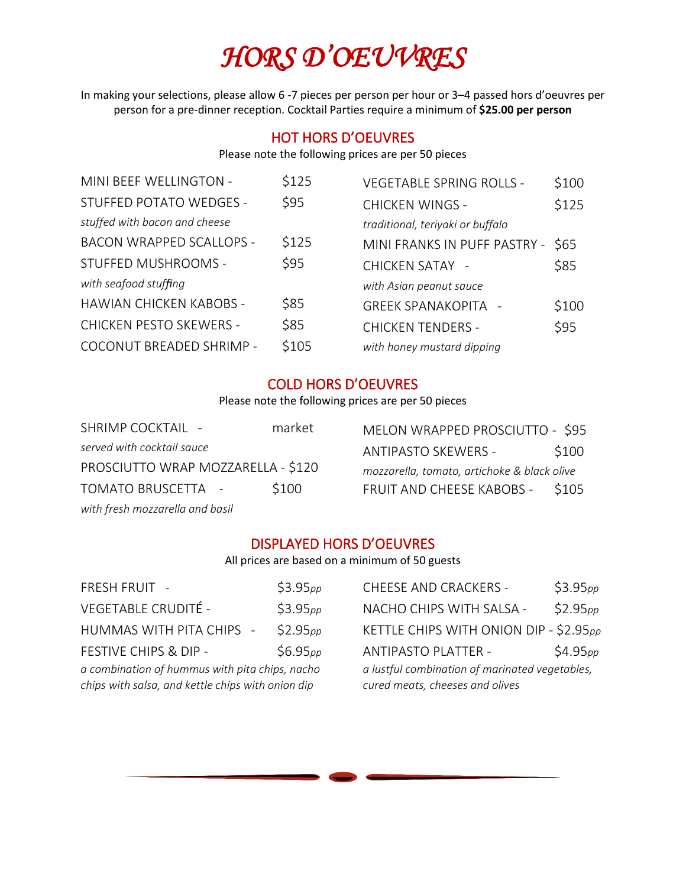# *HORS D'OEUVRES*

In making your selections, please allow 6 -7 pieces per person per hour or 3–4 passed hors d'oeuvres per person for a pre-dinner reception. Cocktail Parties require a minimum of **\$25.00 per person**

#### HOT HORS D'OEUVRES

Please note the following prices are per 50 pieces

| MINI BEEF WELLINGTON -          | \$125 | <b>VEGETABLE SPRING ROLLS -</b>  | \$100 |
|---------------------------------|-------|----------------------------------|-------|
| STUFFED POTATO WEDGES -         | \$95  | <b>CHICKEN WINGS -</b>           | \$125 |
| stuffed with bacon and cheese   |       | traditional, teriyaki or buffalo |       |
| <b>BACON WRAPPED SCALLOPS -</b> | \$125 | MINI FRANKS IN PUFF PASTRY -     | \$65  |
| STUFFED MUSHROOMS -             | \$95  | <b>CHICKEN SATAY -</b>           | \$85  |
| with seafood stuffing           |       | with Asian peanut sauce          |       |
| <b>HAWIAN CHICKEN KABOBS -</b>  | \$85  | <b>GREEK SPANAKOPITA -</b>       | \$100 |
| <b>CHICKEN PESTO SKEWERS -</b>  | \$85  | <b>CHICKEN TENDERS -</b>         | \$95  |
| COCONUT BREADED SHRIMP -        | \$105 | with honey mustard dipping       |       |
|                                 |       |                                  |       |

#### COLD HORS D'OEUVRES

Please note the following prices are per 50 pieces

| <b>SHRIMP COCKTAIL -</b>           |  | market |
|------------------------------------|--|--------|
| served with cocktail sauce         |  |        |
| PROSCIUTTO WRAP MOZZARELLA - \$120 |  |        |
| <b>TOMATO BRUSCETTA</b>            |  | \$100  |
| with fresh mozzarella and basil    |  |        |

| MELON WRAPPED PROSCIUTTO - \$95             |       |  |  |  |  |
|---------------------------------------------|-------|--|--|--|--|
| <b>ANTIPASTO SKEWERS -</b>                  | \$100 |  |  |  |  |
| mozzarella, tomato, artichoke & black olive |       |  |  |  |  |
| FRUIT AND CHEESE KABOBS -                   | \$105 |  |  |  |  |

#### DISPLAYED HORS D'OEUVRES

All prices are based on a minimum of 50 guests

| \$3.95 <sub>pp</sub>                                                                                | <b>CHEESE AND CRACKERS -</b> | \$3.95 <sub>pp</sub>                                                              |  |  |
|-----------------------------------------------------------------------------------------------------|------------------------------|-----------------------------------------------------------------------------------|--|--|
| \$3.95 <sub>pp</sub>                                                                                | NACHO CHIPS WITH SALSA -     | \$2.95pp                                                                          |  |  |
| \$2.95 <sub>pp</sub>                                                                                |                              |                                                                                   |  |  |
| \$6.95 <sub>pp</sub>                                                                                | <b>ANTIPASTO PLATTER -</b>   | \$4.95 <sub>pp</sub>                                                              |  |  |
| a combination of hummus with pita chips, nacho<br>chips with salsa, and kettle chips with onion dip |                              | a lustful combination of marinated vegetables,<br>cured meats, cheeses and olives |  |  |
|                                                                                                     |                              | KETTLE CHIPS WITH ONION DIP - \$2.95pp                                            |  |  |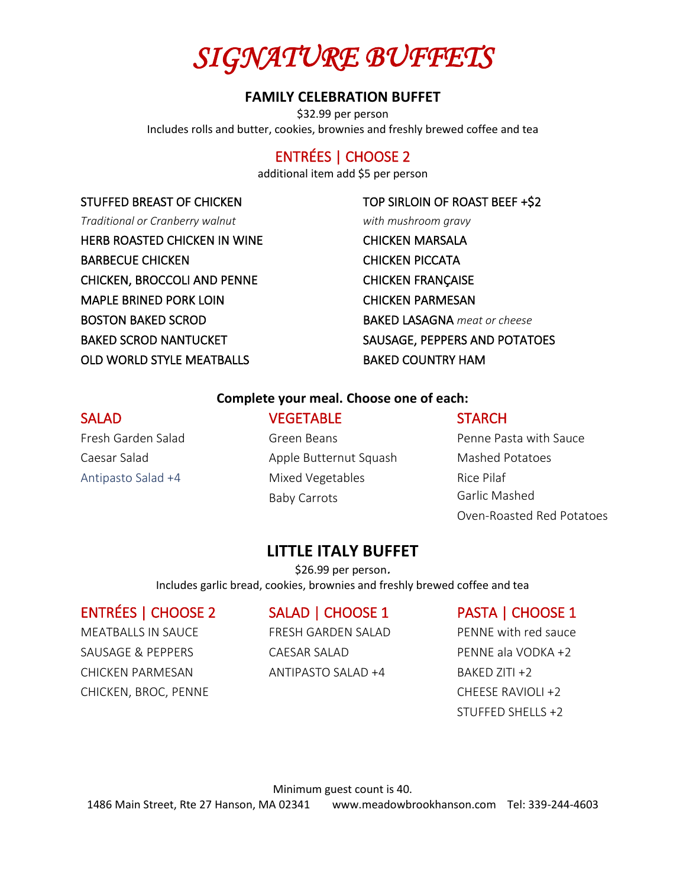

#### **FAMILY CELEBRATION BUFFET**

\$32.99 per person Includes rolls and butter, cookies, brownies and freshly brewed coffee and tea

#### ENTRÉES | CHOOSE 2

additional item add \$5 per person

#### STUFFED BREAST OF CHICKEN

*Traditional or Cranberry walnut*  HERB ROASTED CHICKEN IN WINE BARBECUE CHICKEN CHICKEN, BROCCOLI AND PENNE MAPLE BRINED PORK LOIN BOSTON BAKED SCROD BAKED SCROD NANTUCKET OLD WORLD STYLE MEATBALLS

TOP SIRLOIN OF ROAST BEEF +\$2 *with mushroom gravy* CHICKEN MARSALA CHICKEN PICCATA CHICKEN FRANÇAISE CHICKEN PARMESAN BAKED LASAGNA *meat or cheese* SAUSAGE, PEPPERS AND POTATOES BAKED COUNTRY HAM

#### **Complete your meal. Choose one of each:**

Apple Butternut Squash

Mixed Vegetables

Baby Carrots

#### **SALAD**

Fresh Garden Salad

Antipasto Salad +4

Caesar Salad

**VEGETABLE** Green Beans

#### **STARCH**

Penne Pasta with Sauce Mashed Potatoes Rice Pilaf Garlic Mashed Oven-Roasted Red Potatoes

#### **LITTLE ITALY BUFFET**

\$26.99 per person. Includes garlic bread, cookies, brownies and freshly brewed coffee and tea

#### ENTRÉES | CHOOSE 2

MEATBALLS IN SAUCE SAUSAGE & PEPPERS CHICKEN PARMESAN CHICKEN, BROC, PENNE

#### SALAD | CHOOSE 1

FRESH GARDEN SALAD CAESAR SALAD ANTIPASTO SALAD +4

#### PASTA | CHOOSE 1

PENNE with red sauce PENNE ala VODKA +2 BAKED ZITI +2 CHEESE RAVIOLI +2 STUFFED SHELLS +2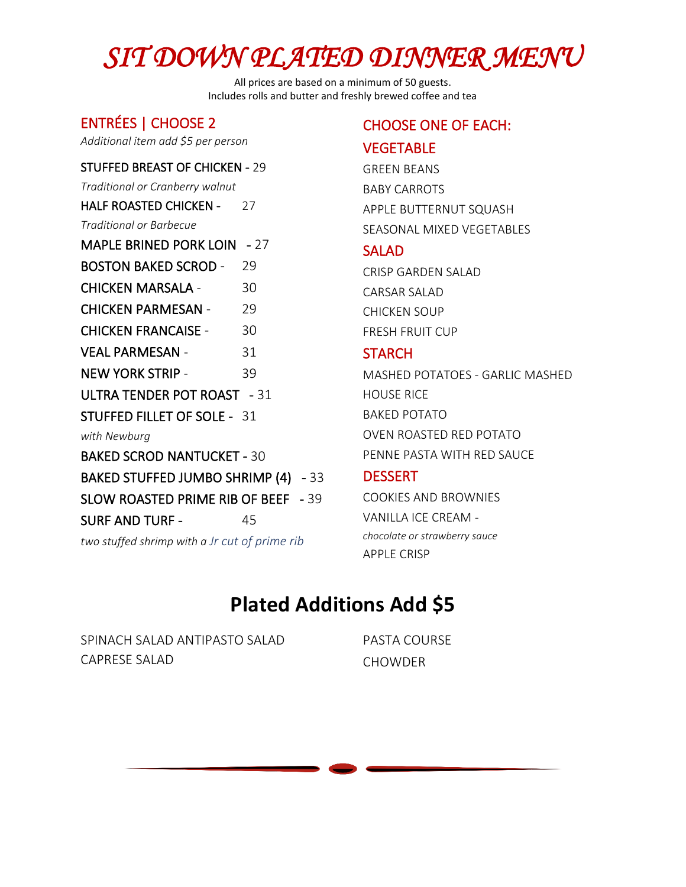# *SIT DOWN PLATED DINNER MENU*

All prices are based on a minimum of 50 guests. Includes rolls and butter and freshly brewed coffee and tea

#### ENTRÉES | CHOOSE 2

*Additional item add \$5 per person*

#### STUFFED BREAST OF CHICKEN - 29

*Traditional or Cranberry walnut* 

HALF ROASTED CHICKEN - 27

*Traditional or Barbecue* 

MAPLE BRINED PORK LOIN - 27 BOSTON BAKED SCROD - 29 CHICKEN MARSALA - 30 CHICKEN PARMESAN - 29 CHICKEN FRANCAISE - 30 VEAL PARMESAN - 31 NEW YORK STRIP - 39 ULTRA TENDER POT ROAST - 31 STUFFED FILLET OF SOLE - 31 *with Newburg*  BAKED SCROD NANTUCKET - 30 BAKED STUFFED JUMBO SHRIMP (4) - 33 SLOW ROASTED PRIME RIB OF BEEF - 39 SURF AND TURF - 45 *two stuffed shrimp with a Jr cut of prime rib*

### CHOOSE ONE OF EACH:

#### **VEGETABLE**

GREEN BEANS BABY CARROTS APPLE BUTTERNUT SQUASH SEASONAL MIXED VEGETABLES

#### SALAD

CRISP GARDEN SALAD CARSAR SALAD CHICKEN SOUP FRESH FRUIT CUP

#### **STARCH**

MASHED POTATOES - GARLIC MASHED HOUSE RICE BAKED POTATO OVEN ROASTED RED POTATO PENNE PASTA WITH RED SAUCE

#### **DESSERT**

COOKIES AND BROWNIES VANILLA ICE CREAM *chocolate or strawberry sauce* APPLE CRISP

### **Plated Additions Add \$5**

SPINACH SALAD ANTIPASTO SALAD CAPRESE SALAD

PASTA COURSE **CHOWDER**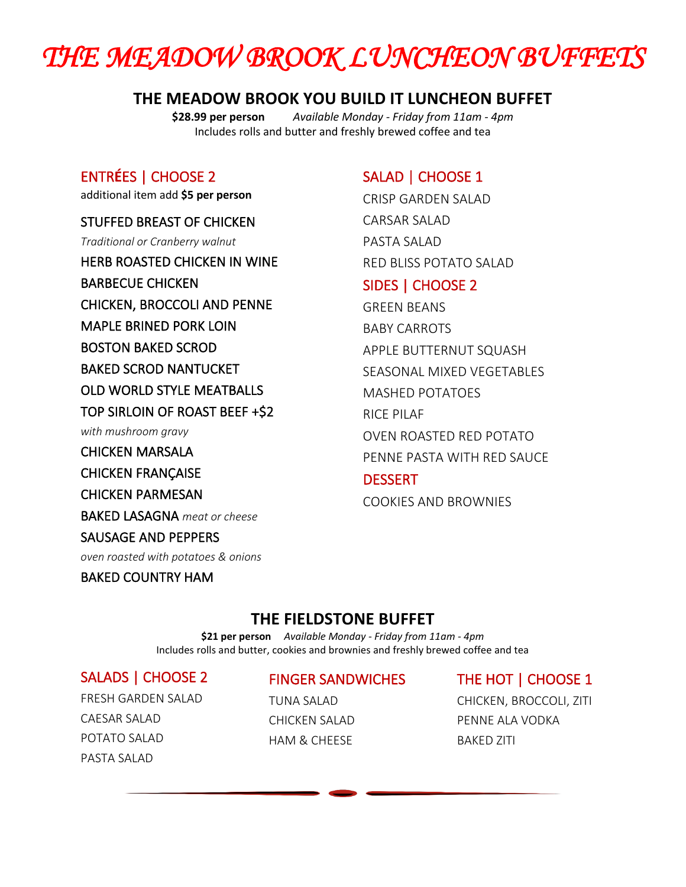## *THE MEADOW BROOK LUNCHEON BUFFETS*

#### **THE MEADOW BROOK YOU BUILD IT LUNCHEON BUFFET**

**\$28.99 per person** *Available Monday - Friday from 11am - 4pm* Includes rolls and butter and freshly brewed coffee and tea

#### ENTR**É**ES | CHOOSE 2

additional item add **\$5 per person**

#### STUFFED BREAST OF CHICKEN

*Traditional or Cranberry walnut* 

HERB ROASTED CHICKEN IN WINE

BARBECUE CHICKEN CHICKEN, BROCCOLI AND PENNE MAPLE BRINED PORK LOIN

- BOSTON BAKED SCROD
- BAKED SCROD NANTUCKET

OLD WORLD STYLE MEATBALLS

TOP SIRLOIN OF ROAST BEEF +\$2

*with mushroom gravy* 

CHICKEN MARSALA

CHICKEN FRANÇAISE

CHICKEN PARMESAN

BAKED LASAGNA *meat or cheese*

#### SAUSAGE AND PEPPERS

*oven roasted with potatoes & onions* 

#### BAKED COUNTRY HAM

#### SALAD | CHOOSE 1

CRISP GARDEN SALAD CARSAR SALAD PASTA SALAD RED BLISS POTATO SALAD

#### SIDES | CHOOSE 2

GREEN BEANS BABY CARROTS APPLE BUTTERNUT SQUASH SEASONAL MIXED VEGETABLES MASHED POTATOES RICE PILAF OVEN ROASTED RED POTATO PENNE PASTA WITH RED SAUCE

#### **DESSERT**

COOKIES AND BROWNIES

#### **THE FIELDSTONE BUFFET**

**\$21 per person** *Available Monday - Friday from 11am - 4pm* Includes rolls and butter, cookies and brownies and freshly brewed coffee and tea

#### SALADS | CHOOSE 2

FRESH GARDEN SALAD CAESAR SALAD POTATO SALAD PASTA SALAD

#### FINGER SANDWICHES

TUNA SALAD CHICKEN SALAD HAM & CHEESE

#### THE HOT | CHOOSE 1

CHICKEN, BROCCOLI, ZITI PENNE ALA VODKA BAKED ZITI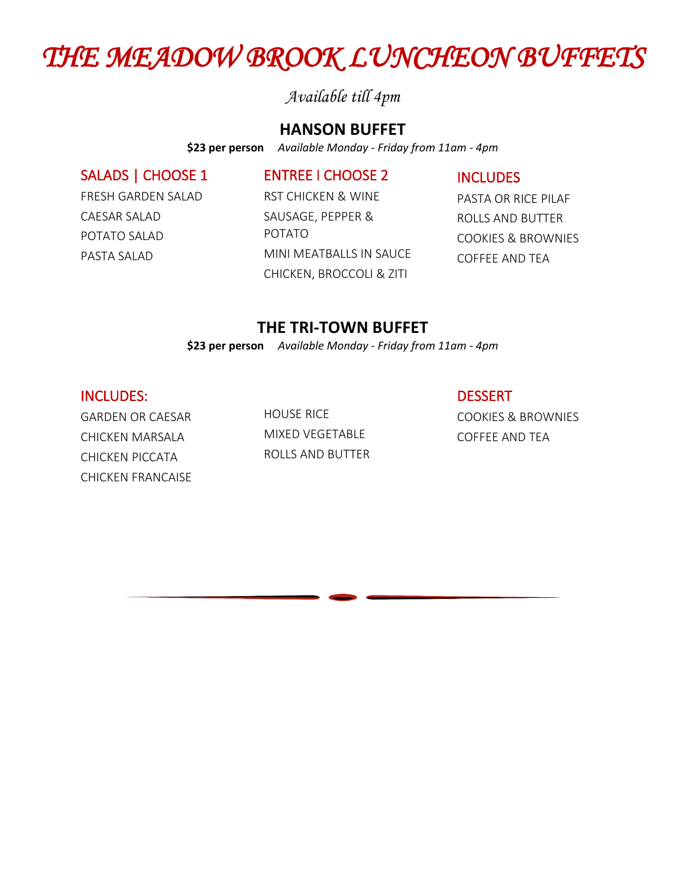### *THE MEADOW BROOK LUNCHEON BUFFETS*

*Available till 4pm*

#### **HANSON BUFFET**

**\$23 per person** *Available Monday - Friday from 11am - 4pm*

#### SALADS | CHOOSE 1

ENTREE I CHOOSE 2

INCLUDES

FRESH GARDEN SALAD CAESAR SALAD POTATO SALAD PASTA SALAD

RST CHICKEN & WINE SAUSAGE, PEPPER & POTATO MINI MEATBALLS IN SAUCE CHICKEN, BROCCOLI & ZITI

PASTA OR RICE PILAF ROLLS AND BUTTER COOKIES & BROWNIES COFFEE AND TEA

#### **THE TRI-TOWN BUFFET**

**\$23 per person** *Available Monday - Friday from 11am - 4pm* 

#### INCLUDES:

GARDEN OR CAESAR CHICKEN MARSALA CHICKEN PICCATA CHICKEN FRANCAISE HOUSE RICE MIXED VEGETABLE ROLLS AND BUTTER

COOKIES & BROWNIES COFFEE AND TEA

**DESSERT**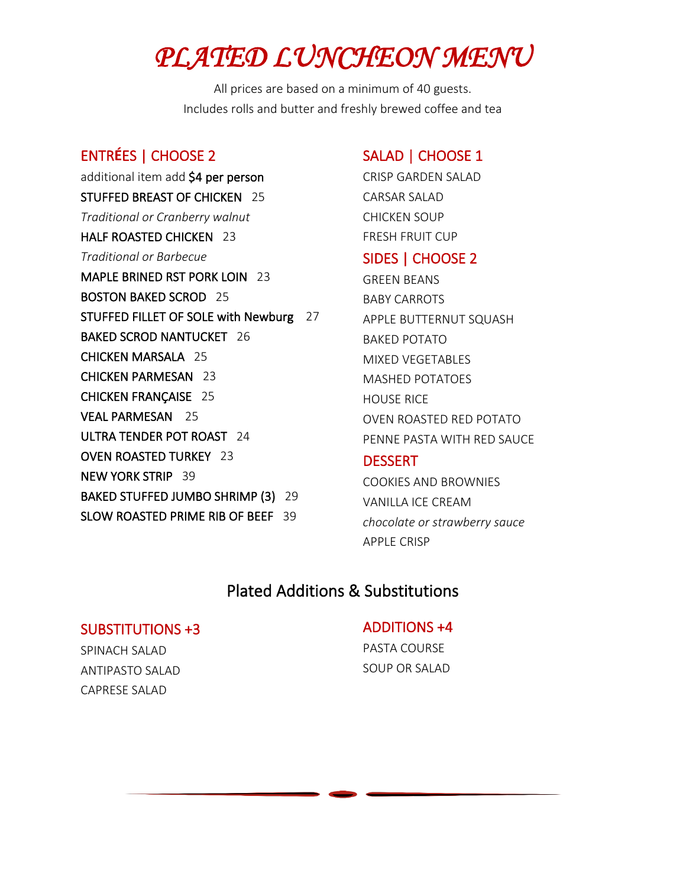## *PLATED LUNCHEON MENU*

All prices are based on a minimum of 40 guests. Includes rolls and butter and freshly brewed coffee and tea

#### ENTR**É**ES | CHOOSE 2

additional item add \$4 per person STUFFED BREAST OF CHICKEN 25 *Traditional or Cranberry walnut*  HALF ROASTED CHICKEN 23 *Traditional or Barbecue*  MAPLE BRINED RST PORK LOIN 23 BOSTON BAKED SCROD 25 STUFFED FILLET OF SOLE with Newburg 27 BAKED SCROD NANTUCKET 26 CHICKEN MARSALA 25 CHICKEN PARMESAN 23 CHICKEN FRANÇAISE 25 VEAL PARMESAN 25 ULTRA TENDER POT ROAST 24 OVEN ROASTED TURKEY 23 NEW YORK STRIP 39 BAKED STUFFED JUMBO SHRIMP (3) 29 SLOW ROASTED PRIME RIB OF BEEF 39

#### SALAD | CHOOSE 1

CRISP GARDEN SALAD CARSAR SALAD CHICKEN SOUP FRESH FRUIT CUP

#### SIDES | CHOOSE 2

GREEN BEANS BABY CARROTS APPLE BUTTERNUT SQUASH BAKED POTATO MIXED VEGETABLES MASHED POTATOES HOUSE RICE OVEN ROASTED RED POTATO PENNE PASTA WITH RED SAUCE

#### **DESSERT**

COOKIES AND BROWNIES VANILLA ICE CREAM *chocolate or strawberry sauce*  APPLE CRISP

#### Plated Additions & Substitutions

#### SUBSTITUTIONS +3

SPINACH SALAD ANTIPASTO SALAD CAPRESE SALAD

#### ADDITIONS +4

PASTA COURSE SOUP OR SALAD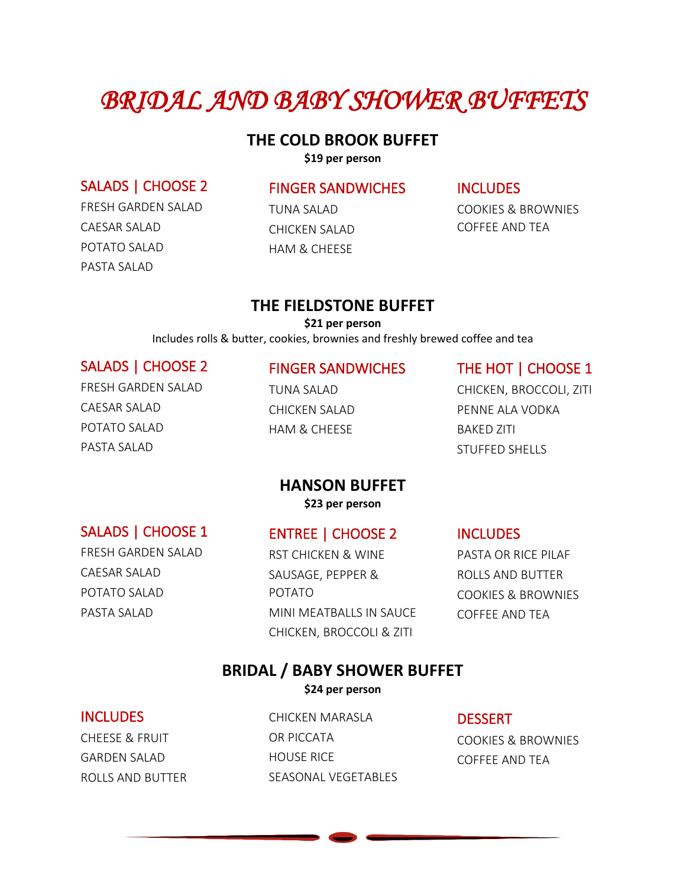### *BRIDAL AND BABY SHOWER BUFFETS*

#### **THE COLD BROOK BUFFET**

**\$19 per person**

#### SALADS | CHOOSE 2

FRESH GARDEN SALAD CAESAR SALAD POTATO SALAD PASTA SALAD

#### FINGER SANDWICHES

TUNA SALAD CHICKEN SALAD HAM & CHEESE

#### **INCLUDES**

COOKIES & BROWNIES COFFEE AND TEA

#### **THE FIELDSTONE BUFFET**

**\$21 per person**

Includes rolls & butter, cookies, brownies and freshly brewed coffee and tea

#### SALADS | CHOOSE 2 FRESH GARDEN SALAD

CAESAR SALAD POTATO SALAD PASTA SALAD

FINGER SANDWICHES TUNA SALAD

CHICKEN SALAD HAM & CHEESE

#### THE HOT | CHOOSE 1

CHICKEN, BROCCOLI, ZITI PENNE ALA VODKA BAKED ZITI STUFFED SHELLS

#### **HANSON BUFFET \$23 per person**

SALADS | CHOOSE 1

#### ENTREE | CHOOSE 2

FRESH GARDEN SALAD CAESAR SALAD

POTATO SALAD PASTA SALAD

RST CHICKEN & WINE SAUSAGE, PEPPER & POTATO MINI MEATBALLS IN SAUCE CHICKEN, BROCCOLI & ZITI

INCLUDES

PASTA OR RICE PILAF ROLLS AND BUTTER COOKIES & BROWNIES COFFEE AND TEA

### **BRIDAL / BABY SHOWER BUFFET**

**\$24 per person**

#### INCLUDES

CHEESE & FRUIT GARDEN SALAD ROLLS AND BUTTER CHICKEN MARASLA OR PICCATA HOUSE RICE SEASONAL VEGETABLES

**DESSERT** COOKIES & BROWNIES COFFEE AND TEA